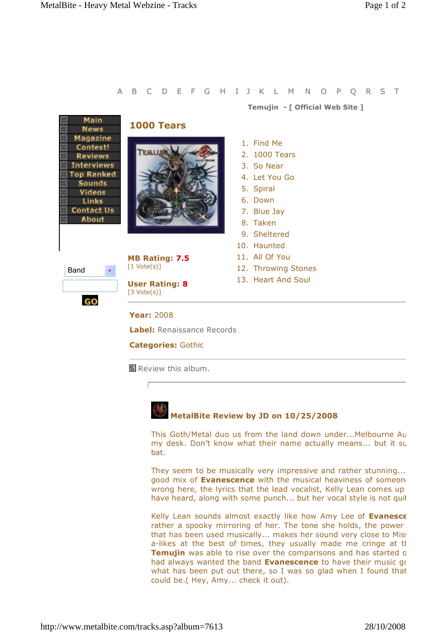| A                                                                                                                             |                                                            | B C D E F G H I J K L M N O P Q R S T |
|-------------------------------------------------------------------------------------------------------------------------------|------------------------------------------------------------|---------------------------------------|
|                                                                                                                               |                                                            | Temujin - [ Official Web Site ]       |
| <b>Main</b><br><b>News</b><br><b>Magazine</b>                                                                                 | <b>1000 Tears</b>                                          |                                       |
| Contest!                                                                                                                      | TEALUR                                                     | 1. Find Me                            |
| <b>Reviews</b>                                                                                                                |                                                            | 2. 1000 Tears                         |
| <b>Interviews</b><br><b>Top Ranked</b><br><b>Sounds</b><br><b>Videos</b><br><b>Links</b><br><b>Contact Us</b><br><b>About</b> |                                                            | 3. So Near                            |
|                                                                                                                               |                                                            | 4. Let You Go                         |
|                                                                                                                               |                                                            | 5. Spiral                             |
|                                                                                                                               |                                                            | 6. Down                               |
|                                                                                                                               |                                                            | 7. Blue Jay                           |
|                                                                                                                               |                                                            | 8. Taken                              |
|                                                                                                                               |                                                            | 9. Sheltered                          |
| Band<br>GO                                                                                                                    |                                                            | 10. Haunted                           |
|                                                                                                                               | <b>MB Rating: 7.5</b><br>$\lceil 1 \text{ Vote}(s) \rceil$ | 11. All Of You                        |
|                                                                                                                               |                                                            | 12. Throwing Stones                   |
|                                                                                                                               | <b>User Rating: 8</b><br>$[3 \text{ Vote}(s)]$             | 13. Heart And Soul                    |
|                                                                                                                               | <b>Year: 2008</b>                                          |                                       |
|                                                                                                                               | <b>Label:</b> Renaissance Records                          |                                       |
|                                                                                                                               | <b>Categories: Gothic</b>                                  |                                       |
|                                                                                                                               | 멸 Review this album.                                       |                                       |



## **MetalBite Review by JD on 10/25/2008**

This Goth/Metal duo us from the land down under...Melbourne Au my desk. Don't know what their name actually means... but it surely bat.

They seem to be musically very impressive and rather stunning... good mix of **Evanescence** with the musical heaviness of someone wrong here, the lyrics that the lead vocalist, Kelly Lean comes up have heard, along with some punch... but her vocal style is not quit

Kelly Lean sounds almost exactly like how Amy Lee of **Evanesce** rather a spooky mirroring of her. The tone she holds, the power that has been used musically... makes her sound very close to Miss a-likes at the best of times, they usually made me cringe at tl Temujin was able to rise over the comparisons and has started on had always wanted the band **Evanescence** to have their music go what has been put out there, so I was so glad when I found that could be.( Hey, Amy... check it out).